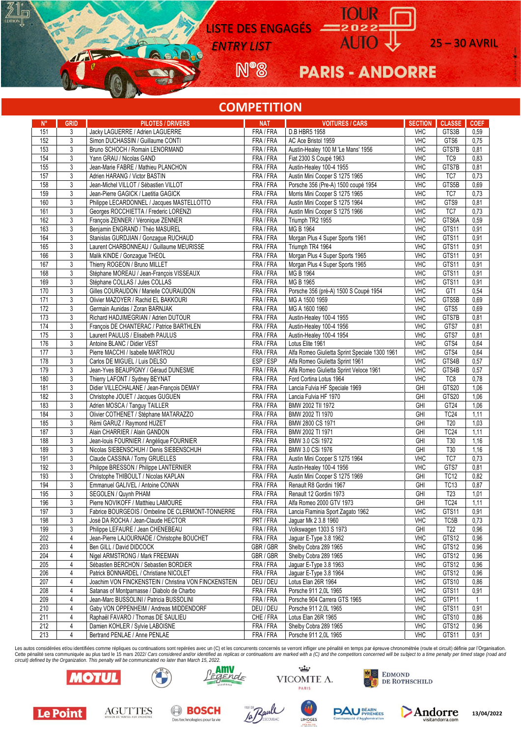LISTE DES ENGAGÉS

**ENTRY LIST** AUIO U 25 – 30 AVRIL

**N®** 

**PARIS - ANDORRE** 

### **COMPETITION**

| $N^{\circ}$ | <b>GRID</b>    | <b>PILOTES / DRIVERS</b>                                                                | <b>NAT</b>             | <b>VOITURES / CARS</b>                                    | <b>SECTION</b>    | <b>CLASSE</b>     | <b>COEF</b>  |
|-------------|----------------|-----------------------------------------------------------------------------------------|------------------------|-----------------------------------------------------------|-------------------|-------------------|--------------|
| 151         | 3              | Jacky LAGUERRE / Adrien LAGUERRE                                                        | FRA / FRA              | D.B HBR5 1958                                             | <b>VHC</b>        | GTS3B             | 0,59         |
| 152         | 3              | Simon DUCHASSIN / Guillaume CONTI                                                       | FRA / FRA              | AC Ace Bristol 1959                                       | <b>VHC</b>        | GTS6              | 0,75         |
| 153         | 3              | Bruno SCHOCH / Romain LENORMAND                                                         | FRA / FRA              | Austin-Healey 100 M 'Le Mans' 1956                        | <b>VHC</b>        | GTS7B             | 0,81         |
| 154         | $\sqrt{3}$     | Yann GRAU / Nicolas GAND                                                                | FRA / FRA              | Fiat 2300 S Coupé 1963                                    | <b>VHC</b>        | TC <sub>9</sub>   | 0,83         |
| 155         | 3              | Jean-Marie FABRE / Mathieu PLANCHON                                                     | FRA / FRA              | Austin-Healey 100-4 1955                                  | <b>VHC</b>        | GTS7B             | 0,81         |
|             |                |                                                                                         |                        |                                                           |                   |                   |              |
| 157         | 3              | Adrien HARANG / Victor BASTIN                                                           | FRA / FRA              | Austin Mini Cooper S 1275 1965                            | <b>VHC</b>        | TC7               | 0,73         |
| 158         | 3              | Jean-Michel VILLOT / Sébastien VILLOT                                                   | FRA / FRA              | Porsche 356 (Pre-A) 1500 coupé 1954                       | <b>VHC</b>        | GTS5B             | 0,69         |
| 159         | 3              | Jean-Pierre GAGICK / Laetitia GAGICK                                                    | FRA / FRA              | Morris Mini Cooper S 1275 1965                            | <b>VHC</b>        | TC7               | 0,73         |
| 160         | 3              | Philippe LECARDONNEL / Jacques MASTELLOTTO                                              | FRA / FRA              | Austin Mini Cooper S 1275 1964                            | <b>VHC</b>        | GTS9              | 0,81         |
| 161         | $\overline{3}$ | Georges ROCCHIETTA / Frederic LORENZI                                                   | FRA / FRA              | Austin Mini Cooper S 1275 1966                            | <b>VHC</b>        | TC7               | 0,73         |
| 162         | 3              | François ZENNER / Véronique ZENNER                                                      | FRA / FRA              | Triumph TR2 1955                                          | <b>VHC</b>        | GTS6A             | 0,59         |
| 163         | 3              | Benjamin ENGRAND / Théo MASUREL                                                         | FRA / FRA              | MG B 1964                                                 | <b>VHC</b>        | GTS11             | 0,91         |
| 164         | $\overline{3}$ | Stanislas GURDJIAN / Gonzague RUCHAUD                                                   | FRA / FRA              | Morgan Plus 4 Super Sports 1961                           | <b>VHC</b>        | GTS11             | 0,91         |
| 165         | 3              | Laurent CHARBONNEAU / Guillaume MEURISSE                                                | FRA / FRA              | Triumph TR4 1964                                          | VHC               | GTS11             | 0,91         |
| 166         | $\overline{3}$ | Malik KINDE / Gonzague THEOL                                                            | FRA/FRA                | Morgan Plus 4 Super Sports 1965                           | <b>VHC</b>        | GTS11             | 0,91         |
| 167         | 3              | Thierry ROGEON / Bruno MILLET                                                           | FRA / FRA              | Morgan Plus 4 Super Sports 1965                           | <b>VHC</b>        | GTS11             | 0,91         |
| 168         | 3              | Stéphane MOREAU / Jean-François VISSEAUX                                                | FRA / FRA              | MG B 1964                                                 | VHC               | GTS11             | 0,91         |
| 169         | 3              | Stéphane COLLAS / Jules COLLAS                                                          | FRA / FRA              | MG B 1965                                                 | <b>VHC</b>        | GTS11             | 0,91         |
| 170         | $\sqrt{3}$     | Gilles COURAUDON / Marielle COURAUDON                                                   | FRA / FRA              | Porsche 356 (pré-A) 1500 S Coupé 1954                     | <b>VHC</b>        | GT <sub>1</sub>   | 0,54         |
| 171         | $\overline{3}$ | Olivier MAZOYER / Rachid EL BAKKOURI                                                    | FRA / FRA              | MG A 1500 1959                                            | VHC               | GTS5B             | 0,69         |
| 172         | 3              | Germain Aunidas / Zoran BARNJAK                                                         | FRA / FRA              | MG A 1600 1960                                            | <b>VHC</b>        | GTS5              | 0,69         |
| 173         | 3              | Richard HADJIMEGRIAN / Adrien DUTOUR                                                    | FRA / FRA              | Austin-Healey 100-4 1955                                  | <b>VHC</b>        | GTS7B             | 0,81         |
| 174         | $\overline{3}$ | François DE CHANTERAC / Patrice BARTHLEN                                                | FRA / FRA              | Austin-Healey 100-4 1956                                  | <b>VHC</b>        | GTS7              | 0,81         |
|             |                |                                                                                         |                        |                                                           | <b>VHC</b>        | GTS7              |              |
| 175         | 3              | Laurent PAULUS / Elisabeth PAULUS                                                       | FRA / FRA              | Austin-Healey 100-4 1954                                  |                   |                   | 0,81         |
| 176         | 3              | Antoine BLANC / Didier VEST                                                             | FRA / FRA              | Lotus Elite 1961                                          | <b>VHC</b>        | GTS4              | 0,64         |
| 177         | $\overline{3}$ | Pierre MACCHI / Isabelle MARTROU                                                        | FRA / FRA              | Alfa Romeo Giulietta Sprint Speciale 1300 1961            | <b>VHC</b>        | GTS4              | 0,64         |
| 178         | 3              | Carlos DE MIGUEL / Luis DELSO                                                           | ESP/ESP                | Alfa Romeo Giulietta Sprint 1961                          | <b>VHC</b>        | GTS4B             | 0,57         |
| 179         | 3              | Jean-Yves BEAUPIGNY / Géraud DUNESME                                                    | FRA / FRA              | Alfa Romeo Giulietta Sprint Veloce 1961                   | <b>VHC</b>        | GTS4B             | 0,57         |
| 180         | $\sqrt{3}$     | Thierry LAFONT / Sydney BEYNAT                                                          | FRA / FRA              | Ford Cortina Lotus 1964                                   | <b>VHC</b>        | TC8               | 0,78         |
| 181         | 3              | Didier VILLECHALANE / Jean-François DEMAY                                               | FRA / FRA              | Lancia Fulvia HF Speciale 1969                            | GHI               | GTS20             | 1,06         |
| 182         | $\overline{3}$ | Christophe JOUET / Jacques GUGUEN                                                       | FRA / FRA              | Lancia Fulvia HF 1970                                     | GHI               | GTS20             | 1,06         |
| 183         | $\overline{3}$ | Adrien MOSCA / Tanguy TAILLER                                                           | FRA / FRA              | BMW 2002 TII 1972                                         | GHI               | GT <sub>24</sub>  | 1,06         |
| 184         | 3              | Olivier COTHENET / Stéphane MATARAZZO                                                   | FRA / FRA              | BMW 2002 TI 1970                                          | GHI               | TC <sub>24</sub>  | 1,11         |
| 185         | $\overline{3}$ | Rémi GARUZ / Raymond HUZET                                                              | FRA / FRA              | BMW 2800 CS 1971                                          | GHI               | T20               | 1,03         |
| 187         | 3              | Alain CHARRIER / Alain GANDON                                                           | FRA / FRA              | BMW 2002 TI 1971                                          | GHI               | <b>TC24</b>       | 1,11         |
| 188         | 3              | Jean-louis FOURNIER / Angélique FOURNIER                                                | FRA / FRA              | BMW 3.0 CSi 1972                                          | GHI               | T30               | 1,16         |
| 189         | 3              | Nicolas SIEBENSCHUH / Denis SIEBENSCHUH                                                 | FRA / FRA              | BMW 3.0 CSi 1976                                          | GHI               | T30               | 1,16         |
| 191         | 3              | Claude CASSINA / Tomy GRUELLES                                                          | FRA/FRA                | Austin Mini Cooper S 1275 1964                            | <b>VHC</b>        | TC7               | 0,73         |
| 192         | 3              | Philippe BRESSON / Philippe LANTERNIER                                                  | FRA / FRA              | Austin-Healey 100-4 1956                                  | VHC               | GTS7              | 0,81         |
| 193         | 3              | Christophe THIBOULT / Nicolas KAPLAN                                                    | FRA / FRA              | Austin Mini Cooper S 1275 1969                            | GHI               | <b>TC12</b>       | 0,82         |
| 194         | 3              | Emmanuel GALIVEL / Antoine CONAN                                                        | FRA / FRA              | Renault R8 Gordini 1967                                   | GHI               | <b>TC13</b>       | 0,87         |
| 195         | 3              | SEGOLEN / Quynh PHAM                                                                    | FRA / FRA              | Renault 12 Gordini 1973                                   | GHI               | T <sub>23</sub>   | 1,01         |
| 196         | 3              | Pierre NOVIKOFF / Matthieu LAMOURE                                                      | FRA / FRA              | Alfa Romeo 2000 GTV 1973                                  | GHI               | <b>TC24</b>       | 1,11         |
|             |                |                                                                                         |                        |                                                           |                   | GTS11             |              |
| 197<br>198  | 3<br>3         | Fabrice BOURGEOIS / Ombeline DE CLERMONT-TONNERRE<br>José DA ROCHA / Jean-Claude HECTOR | FRA / FRA<br>PRT / FRA | Lancia Flaminia Sport Zagato 1962<br>Jaguar Mk 2 3.8 1960 | VHC<br><b>VHC</b> | TC <sub>5</sub> B | 0,91<br>0,73 |
| 199         | 3              | Philippe LEFAURE / Jean CHENEBEAU                                                       | FRA / FRA              |                                                           | GHI               | T <sub>22</sub>   |              |
|             |                |                                                                                         |                        | Volkswagen 1303 S 1973                                    |                   |                   | 0.96         |
| 202         | 4              | Jean-Pierre LAJOURNADE / Christophe BOUCHET                                             | FRA / FRA              | Jaguar E-Type 3.8 1962                                    | <b>VHC</b>        | GTS12             | 0,96         |
| 203         | 4              | Ben GILL / David DIDCOCK                                                                | GBR / GBR              | Shelby Cobra 289 1965                                     | <b>VHC</b>        | GTS12             | 0,96         |
| 204         | 4              | Nigel ARMSTRONG / Mark FREEMAN                                                          | GBR / GBR              | Shelby Cobra 289 1965                                     | <b>VHC</b>        | GTS12             | 0,96         |
| 205         | 4              | Sébastien BERCHON / Sebastien BORDIER                                                   | FRA / FRA              | Jaguar E-Type 3.8 1963                                    | <b>VHC</b>        | GTS12             | 0,96         |
| 206         | 4              | Patrick BONNARDEL / Christiane NICOLET                                                  | FRA / FRA              | Jaguar E-Type 3.8 1964                                    | <b>VHC</b>        | GTS12             | 0,96         |
| 207         | 4              | Joachim VON FINCKENSTEIN / Christina VON FINCKENSTEIN                                   | DEU / DEU              | Lotus Elan 26R 1964                                       | <b>VHC</b>        | GTS10             | 0,86         |
| 208         | 4              | Satanas of Montparnasse / Diabolo de Charbo                                             | FRA / FRA              | Porsche 911 2,0L 1965                                     | <b>VHC</b>        | GTS11             | 0,91         |
| 209         | 4              | Jean-Marc BUSSOLINI / Patricia BUSSOLINI                                                | FRA / FRA              | Porsche 904 Carrera GTS 1965                              | <b>VHC</b>        | GTP11             | $\mathbf{1}$ |
| 210         | 4              | Gaby VON OPPENHEIM / Andreas MIDDENDORF                                                 | DEU / DEU              | Porsche 911 2,0L 1965                                     | <b>VHC</b>        | GTS11             | 0,91         |
| 211         | 4              | Raphaël FAVARO / Thomas DE SAULIEU                                                      | CHE / FRA              | Lotus Elan 26R 1965                                       | <b>VHC</b>        | GTS10             | 0.86         |
| 212         | 4              | Damien KOHLER / Sylvie LABOISNE                                                         | FRA / FRA              | Shelby Cobra 289 1965                                     | <b>VHC</b>        | GTS12             | 0,96         |
| 213         | 4              | Bertrand PENLAE / Anne PENLAE                                                           | FRA / FRA              | Porsche 911 2,0L 1965                                     | VHC               | GTS11             | 0,91         |

Les autos considérées et/ou identifiées comme répliques ou continuations sont repérées avec un (C) et les concurrents concernés se verront infliger une pénalité en temps par épreuve chronométrée (route et circuit) définie *circuit) defined by the Organization. This penalty will be communicated no later than March 15, 2022.*



**AGUTTES** 

Le Point

 $\mathbb{I}_{\square}$ 

A





**LIMOGES** 











**13/04/2022**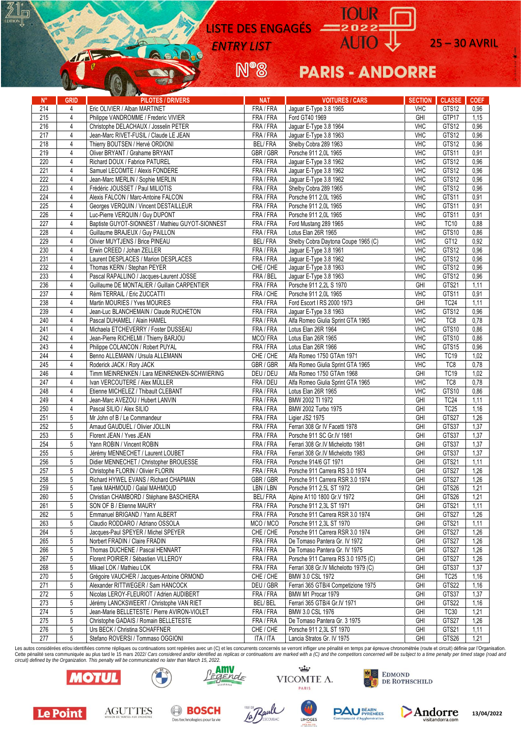LISTE DES ENGAGÉS

N°8

**ENTRY LIST** AUIO U 25 – 30 AVRIL

# **PARIS - ANDORRE**

| $N^{\circ}$ | <b>GRID</b>    | <b>Continued in the contract of the contract of the contract of the contract of the contract of the contract of the contract of the contract of the contract of the contract of the contract of the contract of the contract of </b><br><b>PILOTES / DRIVERS</b> | <b>NAT</b>     | <b>VOITURES / CARS</b>                            | <b>SECTION</b>           | <b>CLASSE</b>    | <b>COEF</b> |
|-------------|----------------|------------------------------------------------------------------------------------------------------------------------------------------------------------------------------------------------------------------------------------------------------------------|----------------|---------------------------------------------------|--------------------------|------------------|-------------|
| 214         | 4              | Eric OLIVIER / Alban MARTINET                                                                                                                                                                                                                                    | FRA / FRA      | Jaguar E-Type 3.8 1965                            | <b>VHC</b>               | GTS12            | 0,96        |
| 215         | $\overline{4}$ | Philippe VANDROMME / Frederic VIVIER                                                                                                                                                                                                                             | FRA / FRA      | Ford GT40 1969                                    | GHI                      | GTP17            | 1,15        |
| 216         | $\overline{4}$ | Christophe DELACHAUX / Josselin PETER                                                                                                                                                                                                                            | FRA / FRA      | Jaguar E-Type 3.8 1964                            | <b>VHC</b>               | GTS12            | 0,96        |
| 217         | 4              | Jean-Marc RIVET-FUSIL / Claude LE JEAN                                                                                                                                                                                                                           | FRA / FRA      | Jaguar E-Type 3.8 1963                            | <b>VHC</b>               | GTS12            | 0,96        |
| 218         | 4              | Thierry BOUTSEN / Hervé ORDIONI                                                                                                                                                                                                                                  | <b>BEL/FRA</b> | Shelby Cobra 289 1963                             | <b>VHC</b>               | GTS12            | 0,96        |
| 219         | 4              | Oliver BRYANT / Grahame BRYANT                                                                                                                                                                                                                                   | GBR / GBR      | Porsche 911 2,0L 1965                             | <b>VHC</b>               | GTS11            | 0,91        |
| 220         | 4              | Richard DOUX / Fabrice PATUREL                                                                                                                                                                                                                                   | FRA / FRA      | Jaguar E-Type 3.8 1962                            | <b>VHC</b>               | GTS12            | 0,96        |
| 221         | $\overline{4}$ | Samuel LECOMTE / Alexis FONDERE                                                                                                                                                                                                                                  | FRA / FRA      | Jaguar E-Type 3.8 1962                            | <b>VHC</b>               | GTS12            | 0,96        |
| 222         | $\overline{4}$ | Jean-Marc MERLIN / Sophie MERLIN                                                                                                                                                                                                                                 | FRA / FRA      | Jaguar E-Type 3.8 1962                            | <b>VHC</b>               | GTS12            | 0,96        |
| 223         | 4              | Frédéric JOUSSET / Paul MILIOTIS                                                                                                                                                                                                                                 | FRA / FRA      | Shelby Cobra 289 1965                             | <b>VHC</b>               | GTS12            | 0,96        |
| 224         | 4              | Alexis FALCON / Marc-Antoine FALCON                                                                                                                                                                                                                              | FRA / FRA      | Porsche 911 2,0L 1965                             | <b>VHC</b>               | GTS11            | 0,91        |
| 225         | $\overline{4}$ | Georges VERQUIN / Vincent DESTAILLEUR                                                                                                                                                                                                                            | FRA / FRA      | Porsche 911 2,0L 1965                             | <b>VHC</b>               | GTS11            | 0,91        |
| 226         | 4              | Luc-Pierre VERQUIN / Guy DUPONT                                                                                                                                                                                                                                  | FRA / FRA      | Porsche 911 2.0L 1965                             | <b>VHC</b>               | GTS11            | 0,91        |
| 227         | $\overline{4}$ | Baptiste GUYOT-SIONNEST / Mathieu GUYOT-SIONNEST                                                                                                                                                                                                                 | FRA / FRA      | Ford Mustang 289 1965                             | <b>VHC</b>               | <b>TC10</b>      | 0,88        |
| 228         | 4              | Guillaume BRAJEUX / Guy PAILLON                                                                                                                                                                                                                                  | FRA / FRA      | Lotus Elan 26R 1965                               | <b>VHC</b>               | GTS10            | 0,86        |
| 229         | 4              | Olivier MUYTJENS / Brice PINEAU                                                                                                                                                                                                                                  | <b>BEL/FRA</b> | Shelby Cobra Daytona Coupe 1965 (C)               | <b>VHC</b>               | GT12             | 0,92        |
| 230         | 4              | Erwin CREED / Johan ZELLER                                                                                                                                                                                                                                       | FRA / FRA      | Jaguar E-Type 3.8 1961                            | <b>VHC</b>               | GTS12            | 0,96        |
| 231         | 4              | Laurent DESPLACES / Marion DESPLACES                                                                                                                                                                                                                             | FRA / FRA      | Jaguar E-Type 3.8 1962                            | <b>VHC</b>               | GTS12            | 0,96        |
| 232         | 4              | Thomas KERN / Stephan PEYER                                                                                                                                                                                                                                      | CHE / CHE      | Jaguar E-Type 3.8 1963                            | <b>VHC</b>               | GTS12            | 0,96        |
| 233         | 4              | Pascal RAPALLINO / Jacques-Laurent JOSSE                                                                                                                                                                                                                         | FRA / BEL      |                                                   | <b>VHC</b>               | GTS12            | 0,96        |
| 236         | 4              | Guillaume DE MONTALIER / Guillain CARPENTIER                                                                                                                                                                                                                     | FRA / FRA      | Jaguar E-Type 3.8 1963<br>Porsche 911 2,2L S 1970 | GHI                      | GTS21            | 1,11        |
| 237         | $\overline{4}$ | Rémi TERRAIL / Eric ZUCCATTI                                                                                                                                                                                                                                     | FRA / CHE      | Porsche 911 2,0L 1965                             | <b>VHC</b>               | GTS11            | 0,91        |
| 238         | 4              | Martin MOURIES / Yves MOURIES                                                                                                                                                                                                                                    | FRA / FRA      |                                                   | GHI                      | TC <sub>24</sub> |             |
|             | 4              | Jean-Luc BLANCHEMAIN / Claude RUCHETON                                                                                                                                                                                                                           |                | Ford Escort I RS 2000 1973                        |                          |                  | 1,11        |
| 239<br>240  |                | Pascal DUHAMEL / Alain HAMEL                                                                                                                                                                                                                                     | FRA / FRA      | Jaguar E-Type 3.8 1963                            | <b>VHC</b><br><b>VHC</b> | GTS12<br>TC8     | 0,96        |
|             | $\overline{4}$ |                                                                                                                                                                                                                                                                  | FRA/FRA        | Alfa Romeo Giulia Sprint GTA 1965                 |                          |                  | 0,78        |
| 241         | 4              | Michaela ETCHEVERRY / Foster DUSSEAU                                                                                                                                                                                                                             | FRA / FRA      | Lotus Elan 26R 1964                               | <b>VHC</b>               | GTS10            | 0,86        |
| 242         | $\overline{4}$ | Jean-Pierre RICHELMI / Thierry BARJOU                                                                                                                                                                                                                            | MCO/FRA        | Lotus Elan 26R 1965                               | VHC                      | GTS10            | 0,86        |
| 243         | $\overline{4}$ | Philippe COLANCON / Robert PUYAL                                                                                                                                                                                                                                 | FRA / FRA      | Lotus Elan 26R 1966                               | <b>VHC</b>               | GTS15            | 0,96        |
| 244         | 4              | Benno ALLEMANN / Ursula ALLEMANN                                                                                                                                                                                                                                 | CHE / CHE      | Alfa Romeo 1750 GTAm 1971                         | <b>VHC</b>               | <b>TC19</b>      | 1,02        |
| 245         | $\overline{4}$ | Roderick JACK / Rory JACK                                                                                                                                                                                                                                        | GBR / GBR      | Alfa Romeo Giulia Sprint GTA 1965                 | <b>VHC</b>               | TC8              | 0,78        |
| 246         | 4              | Timm MEINRENKEN / Lara MEINRENKEN-SCHWIERING                                                                                                                                                                                                                     | DEU / DEU      | Alfa Romeo 1750 GTAm 1968                         | GHI                      | <b>TC19</b>      | 1,02        |
| 247         | 4              | Ivan VERCOUTERE / Alex MÜLLER                                                                                                                                                                                                                                    | FRA / DEU      | Alfa Romeo Giulia Sprint GTA 1965                 | <b>VHC</b>               | TC8              | 0,78        |
| 248         | 4              | Etienne MICHELEZ / Thibault CLEBANT                                                                                                                                                                                                                              | FRA / FRA      | Lotus Elan 26R 1965                               | <b>VHC</b>               | GTS10            | 0,86        |
| 249         | $\overline{4}$ | Jean-Marc AVEZOU / Hubert LANVIN                                                                                                                                                                                                                                 | FRA / FRA      | BMW 2002 TI 1972                                  | GHI                      | TC <sub>24</sub> | 1,11        |
| 250         | 4              | Pascal SILIO / Alex SILIO                                                                                                                                                                                                                                        | FRA / FRA      | BMW 2002 Turbo 1975                               | GHI                      | TC <sub>25</sub> | 1,16        |
| 251         | 5              | Mr John of B / Le Commandeur                                                                                                                                                                                                                                     | FRA / FRA      | Ligier JS2 1975                                   | GHI                      | GTS27            | 1,26        |
| 252         | 5              | Arnaud GAUDUEL / Olivier JOLLIN                                                                                                                                                                                                                                  | FRA / FRA      | Ferrari 308 Gr IV Facetti 1978                    | GHI                      | GTS37            | 1,37        |
| 253         | 5              | Florent JEAN / Yves JEAN                                                                                                                                                                                                                                         | FRA / FRA      | Porsche 911 SC Gr.IV 1981                         | GHI                      | GTS37            | 1,37        |
| 254         | 5              | Yann ROBIN / Vincent ROBIN                                                                                                                                                                                                                                       | FRA / FRA      | Ferrari 308 Gr.IV Michelotto 1981                 | GHI                      | GTS37            | 1,37        |
| 255         | 5              | Jérémy MENNECHET / Laurent LOUBET                                                                                                                                                                                                                                | FRA / FRA      | Ferrari 308 Gr.IV Michelotto 1983                 | GHI                      | GTS37            | 1,37        |
| 256         | 5              | Didier MENNECHET / Christopher BROUESSE                                                                                                                                                                                                                          | FRA / FRA      | Porsche 914/6 GT 1971                             | GHI                      | GTS21            | 1,11        |
| 257         | 5              | Christophe FLORIN / Olivier FLORIN                                                                                                                                                                                                                               | FRA / FRA      | Porsche 911 Carrera RS 3.0 1974                   | GHI                      | GTS27            | 1,26        |
| 258         | 5              | Richard HYWEL EVANS / Richard CHAPMAN                                                                                                                                                                                                                            | GBR / GBR      | Porsche 911 Carrera RSR 3.0 1974                  | GHI                      | GTS27            | 1,26        |
| 259         | 5              | Tarek MAHMOUD / Galal MAHMOUD                                                                                                                                                                                                                                    | LBN / LBN      | Porsche 911 2,5L ST 1972                          | GHI                      | GTS26            | 1,21        |
| 260         | 5              | Christian CHAMBORD / Stéphane BASCHIERA                                                                                                                                                                                                                          | <b>BEL/FRA</b> | Alpine A110 1800 Gr.V 1972                        | GHI                      | GTS26            | 1,21        |
| 261         | 5              | SON OF B / Etienne MAURY                                                                                                                                                                                                                                         | FRA / FRA      | Porsche 911 2,3L ST 1971                          | GHI                      | GTS21            | 1,11        |
| 262         | 5              | Emmanuel BRIGAND / Yann ALBERT                                                                                                                                                                                                                                   | FRA / FRA      | Porsche 911 Carrera RSR 3.0 1974                  | GHI                      | GTS27            | 1,26        |
| 263         | 5              | Claudio RODDARO / Adriano OSSOLA                                                                                                                                                                                                                                 | MCO / MCO      | Porsche 911 2,3L ST 1970                          | GHI                      | GTS21            | 1,11        |
| 264         | 5              | Jacques-Paul SPEYER / Michel SPEYER                                                                                                                                                                                                                              | CHE / CHE      | Porsche 911 Carrera RSR 3.0 1974                  | GHI                      | GTS27            | 1,26        |
| 265         | 5              | Norbert FRADIN / Claire FRADIN                                                                                                                                                                                                                                   | FRA / FRA      | De Tomaso Pantera Gr. IV 1972                     | GHI                      | GTS27            | 1,26        |
| 266         | 5              | Thomas DUCHENE / Pascal HENNART                                                                                                                                                                                                                                  | FRA / FRA      | De Tomaso Pantera Gr. IV 1975                     | GHI                      | GTS27            | 1,26        |
| 267         | 5              | Florent POIRIER / Sébastien VILLEROY                                                                                                                                                                                                                             | FRA / FRA      | Porsche 911 Carrera RS 3.0 1975 (C)               | GHI                      | GTS27            | 1,26        |
| 268         | 5              | Mikael LOK / Mathieu LOK                                                                                                                                                                                                                                         | FRA / FRA      | Ferrari 308 Gr.IV Michelotto 1979 (C)             | GHI                      | GTS37            | 1,37        |
| 270         | 5              | Grégoire VAUCHER / Jacques-Antoine ORMOND                                                                                                                                                                                                                        | CHE / CHE      | BMW 3.0 CSL 1972                                  | GHI                      | TC <sub>25</sub> | 1,16        |
| 271         | 5              | Alexander RITTWEGER / Sam HANCOCK                                                                                                                                                                                                                                | DEU / GBR      | Ferrari 365 GTB/4 Competizione 1975               | GHI                      | GTS22            | 1,16        |
| 272         | 5              | Nicolas LEROY-FLEURIOT / Adrien AUDIBERT                                                                                                                                                                                                                         | FRA / FRA      | BMW M1 Procar 1979                                | GHI                      | GTS37            | 1,37        |
| 273         | 5              | Jérémy LANCKSWEERT / Christophe VAN RIET                                                                                                                                                                                                                         | <b>BEL/BEL</b> | Ferrari 365 GTB/4 Gr.IV 1971                      | GHI                      | GTS22            | 1,16        |
| 274         | 5              | Jean-Marie BELLETESTE / Pierre AVIRON-VIOLET                                                                                                                                                                                                                     | FRA / FRA      | BMW 3.0 CSL 1976                                  | GHI                      | <b>TC30</b>      | 1,21        |
| 275         | 5              | Christophe GADAIS / Romain BELLETESTE                                                                                                                                                                                                                            | FRA / FRA      | De Tomaso Pantera Gr. 3 1975                      | GHI                      | GTS27            | 1,26        |
| 276         | 5              | Urs BECK / Christina SCHAFFNER                                                                                                                                                                                                                                   | CHE / CHE      | Porsche 911 2,3L ST 1970                          | GHI                      | GTS21            | 1,11        |
| 277         | 5              | Stefano ROVERSI / Tommaso OGGIONI                                                                                                                                                                                                                                | ITA / ITA      | Lancia Stratos Gr. IV 1975                        | GHI                      | GTS26            | 1,21        |

Les autos considérées et/ou identifiées comme répliques ou continuations sont repérées avec un (C) et les concurrents concernés se verront infliger une pénalité en temps par épreuve chronométrée (route et circuit) définie Cette pénalité sera communiquée au plus tard le 15 mars 2022/ Cars considered and/or identified as replicas or continuations are marked with a (C) and the competitors concerned will be subject to a time penalty per timed s *circuit) defined by the Organization. This penalty will be communicated no later than March 15, 2022.*<br> **ARRY** 







**LIMOGES** 



**PAU BEARN** 





 $\mathbb{I}_{\square}$ 

 $\mathbf{A}$ 

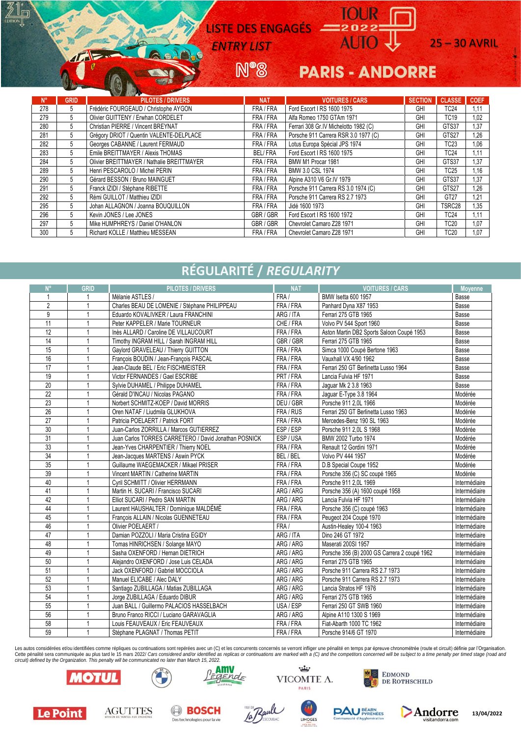LISTE DES ENGAGÉS

**N°8** 

## **ENTRY LIST** AUIO U 25 – 30 AVRIL

## **PARIS - ANDORRE**

| $N^{\circ}$ | <b>GRID</b> | <b>PILOTES / DRIVERS</b>                   | <b>NAT</b>     | <b>VOITURES / CARS</b>                | <b>SECTION</b> | <b>CLASSE</b>    | <b>COEF</b> |
|-------------|-------------|--------------------------------------------|----------------|---------------------------------------|----------------|------------------|-------------|
| 278         | 5           | Frédéric FOURGEAUD / Christophe AYGON      | FRA / FRA      | Ford Escort I RS 1600 1975            | GHI            | <b>TC24</b>      | 1,11        |
| 279         | 5           | Olivier GUITTENY / Erwhan CORDELET         | FRA / FRA      | Alfa Romeo 1750 GTAm 1971             | GHI            | <b>TC19</b>      | 1,02        |
| 280         | 5           | Christian PIERRE / Vincent BREYNAT         | FRA / FRA      | Ferrari 308 Gr.IV Michelotto 1982 (C) | GHI            | GTS37            | 1.37        |
| 281         | 5           | Grégory DRIOT / Quentin VALENTE-DELPLACE   | FRA / FRA      | Porsche 911 Carrera RSR 3.0 1977 (C)  | GHI            | GTS27            | .26         |
| 282         | 5           | Georges CABANNE / Laurent FERMAUD          | FRA / FRA      | Lotus Europa Spécial JPS 1974         | GHI            | TC <sub>23</sub> | 1,06        |
| 283         | 5           | Emile BREITTMAYER / Alexis THOMAS          | <b>BEL/FRA</b> | Ford Escort I RS 1600 1975            | GHI            | <b>TC24</b>      | 1.11        |
| 284         | 5           | Olivier BREITTMAYER / Nathalie BREITTMAYER | FRA / FRA      | BMW M1 Procar 1981                    | GHI            | GTS37            | 1,37        |
| 289         | 5           | Henri PESCAROLO / Michel PERIN             | FRA / FRA      | BMW 3.0 CSL 1974                      | GHI            | TC25             | 1,16        |
| 290         | 5           | Gérard BESSON / Bruno MAINGUET             | FRA / FRA      | Alpine A310 V6 Gr.IV 1979             | GHI            | GTS37            | 1,37        |
| 291         | 5           | Franck IZIDI / Stéphane RIBETTE            | FRA / FRA      | Porsche 911 Carrera RS 3.0 1974 (C)   | GHI            | GTS27            | 1.26        |
| 292         | 5           | Rémi GUILLOT / Matthieu IZIDI              | FRA / FRA      | Porsche 911 Carrera RS 2.7 1973       | GHI            | GT27             | 1.21        |
| 295         | 5           | Johan ALLAGNON / Joanna BOUQUILLON         | FRA / FRA      | Jidé 1600 1973                        | GHI            | TSRC28           | 1.35        |
| 296         | 5           | Kevin JONES / Lee JONES                    | GBR/GBR        | Ford Escort I RS 1600 1972            | GHI            | TC24             | 1.11        |
| 297         | 5           | Mike HUMPHREYS / Daniel O'HANLON           | GBR / GBR      | Chevrolet Camaro Z28 1971             | GHI            | TC20             | 1,07        |
| 300         | 5           | Richard KOLLE / Matthieu MESSEAN           | FRA / FRA      | Chevrolet Camaro Z28 1971             | GHI            | TC20             | 1,07        |

## **RÉGULARITÉ /** *REGULARITY*

| N°              | GRID | <b>PILOTES / DRIVERS</b>                              | <b>NAT</b> | <b>VOITURES / CARS</b>                       | Moyenne       |
|-----------------|------|-------------------------------------------------------|------------|----------------------------------------------|---------------|
| 1               |      | Mélanie ASTLES /                                      | FRA/       | BMW Isetta 600 1957                          | Basse         |
| $\overline{2}$  |      | Charles BEAU DE LOMENIE / Stéphane PHILIPPEAU         | FRA / FRA  | Panhard Dyna X87 1953                        | Basse         |
| 9               |      | Eduardo KOVALIVKER / Laura FRANCHINI                  | ARG / ITA  | Ferrari 275 GTB 1965                         | Basse         |
| 11              |      | Peter KAPPELER / Marie TOURNEUR                       | CHE / FRA  | Volvo PV 544 Sport 1960                      | Basse         |
| 12              |      | Inès ALLARD / Caroline DE VILLAUCOURT                 | FRA / FRA  | Aston Martin DB2 Sports Saloon Coupé 1953    | Basse         |
| 14              |      | Timothy INGRAM HILL / Sarah INGRAM HILL               | GBR / GBR  | Ferrari 275 GTB 1965                         | Basse         |
| 15              |      | Gaylord GRAVELEAU / Thierry GUITTON                   | FRA / FRA  | Simca 1000 Coupé Bertone 1963                | Basse         |
| 16              |      | François BOUDIN / Jean-François PASCAL                | FRA / FRA  | Vauxhall VX 4/90 1962                        | Basse         |
| 17              |      | Jean-Claude BEL / Eric FISCHMEISTER                   | FRA / FRA  | Ferrari 250 GT Berlinetta Lusso 1964         | Basse         |
| 19              |      | Victor FERNANDES / Gael ESCRIBE                       | PRT / FRA  | Lancia Fulvia HF 1971                        | Basse         |
| $\overline{20}$ |      | Sylvie DUHAMEL / Philippe DUHAMEL                     | FRA / FRA  | Jaquar Mk 2 3.8 1963                         | Basse         |
| $\overline{22}$ |      | Gérald D'INCAU / Nicolas PAGANO                       | FRA / FRA  | Jaguar E-Type 3.8 1964                       | Modérée       |
| $\overline{23}$ |      | Norbert SCHMITZ-KOEP / David MORRIS                   | DEU / GBR  | Porsche 911 2,0L 1966                        | Modérée       |
| $\overline{26}$ |      | Oren NATAF / Liudmila GLUKHOVA                        | FRA / RUS  | Ferrari 250 GT Berlinetta Lusso 1963         | Modérée       |
| 27              |      | Patricia POELAERT / Patrick FORT                      | FRA / FRA  | Mercedes-Benz 190 SL 1963                    | Modérée       |
| 30              |      | Juan-Carlos ZORRILLA / Marcos GUTIERREZ               | ESP/ESP    | Porsche 911 2.0L S 1968                      | Modérée       |
| 31              |      | Juan Carlos TORRES CARRETERO / David Jonathan POSNICK | ESP/USA    | BMW 2002 Turbo 1974                          | Modérée       |
| 33              |      | Jean-Yves CHARPENTIER / Thierry NOEL                  | FRA / FRA  | Renault 12 Gordini 1971                      | Modérée       |
| 34              |      | Jean-Jacques MARTENS / Aswin PYCK                     | BEL / BEL  | Volvo PV 444 1957                            | Modérée       |
| 35              |      | Guillaume WAEGEMACKER / Mikael PRISER                 | FRA / FRA  | D.B Special Coupe 1952                       | Modérée       |
| 39              |      | Vincent MARTIN / Catherine MARTIN                     | FRA / FRA  | Porsche 356 (C) SC coupé 1965                | Modérée       |
| 40              |      | Cyril SCHMITT / Olivier HERRMANN                      | FRA / FRA  | Porsche 911 2,0L 1969                        | Intermédiaire |
| 41              |      | Martin H. SUCARI / Francisco SUCARI                   | ARG / ARG  | Porsche 356 (A) 1600 coupé 1958              | Intermédiaire |
| 42              |      | Elliot SUCARI / Pedro SAN MARTIN                      | ARG / ARG  | Lancia Fulvia HF 1971                        | Intermédiaire |
| 44              |      | Laurent HAUSHALTER / Dominique MALDÉMÉ                | FRA / FRA  | Porsche 356 (C) coupé 1963                   | Intermédiaire |
| 45              |      | François ALLAIN / Nicolas GUENNETEAU                  | FRA / FRA  | Peugeot 204 Coupé 1970                       | Intermédiaire |
| 46              |      | Olivier POELAERT /                                    | FRA/       | Austin-Healey 100-4 1963                     | Intermédiaire |
| 47              |      | Damian POZZOLI / Maria Cristina EGIDY                 | ARG / ITA  | Dino 246 GT 1972                             | Intermédiaire |
| 48              |      | Tomas HINRICHSEN / Solange MAYO                       | ARG / ARG  | Maserati 200SI 1957                          | Intermédiaire |
| 49              |      | Sasha OXENFORD / Hernan DIETRICH                      | ARG / ARG  | Porsche 356 (B) 2000 GS Carrera 2 coupé 1962 | Intermédiaire |
| 50              |      | Aleiandro OXENFORD / Jose Luis CELADA                 | ARG / ARG  | Ferrari 275 GTB 1965                         | Intermédiaire |
| 51              |      | Jack OXENFORD / Gabriel MOCCIOLA                      | ARG / ARG  | Porsche 911 Carrera RS 2.7 1973              | Intermédiaire |
| 52              |      | Manuel ELICABE / Alec DALY                            | ARG / ARG  | Porsche 911 Carrera RS 2.7 1973              | Intermédiaire |
| 53              |      | Santiago ZUBILLAGA / Matias ZUBILLAGA                 | ARG / ARG  | Lancia Stratos HF 1976                       | Intermédiaire |
| 54              |      | Jorge ZUBILLAGA / Eduardo DIBUR                       | ARG / ARG  | Ferrari 275 GTB 1965                         | Intermédiaire |
| 55              |      | Juan BALL / Guillermo PALACIOS HASSELBACH             | USA / ESP  | Ferrari 250 GT SWB 1960                      | Intermédiaire |
| 56              |      | Bruno Franco RICCI / Luciano GARAVAGLIA               | ARG / ARG  | Alpine A110 1300 S 1969                      | Intermédiaire |
| 58              |      | Louis FEAUVEAUX / Eric FEAUVEAUX                      | FRA / FRA  | Fiat-Abarth 1000 TC 1962                     | Intermédiaire |
| 59              |      | Stéphane PLAGNAT / Thomas PETIT                       | FRA / FRA  | Porsche 914/6 GT 1970                        | Intermédiaire |

Les autos considérées et/ou identifiées comme répliques ou continuations sont repérées avec un (C) et les concurrents concernés se verront infliger une pénalité en temps par épreuve chronométrée (route et circuit) définie Cette pénalité sera communiquée au plus tard le 15 mars 2022/ Cars considered and/or identified as replicas or continuations are marked with a (C) and the competitors concerned will be subject to a time penalty per timed s



Le Point

**AGUTTES** 

lι⊓

 $\mathbf{A}$ 

**BAR** 

**BOSCH** 

Des technologies pour la vie





LIMOGES



**PAU BEARN** 

Andorre